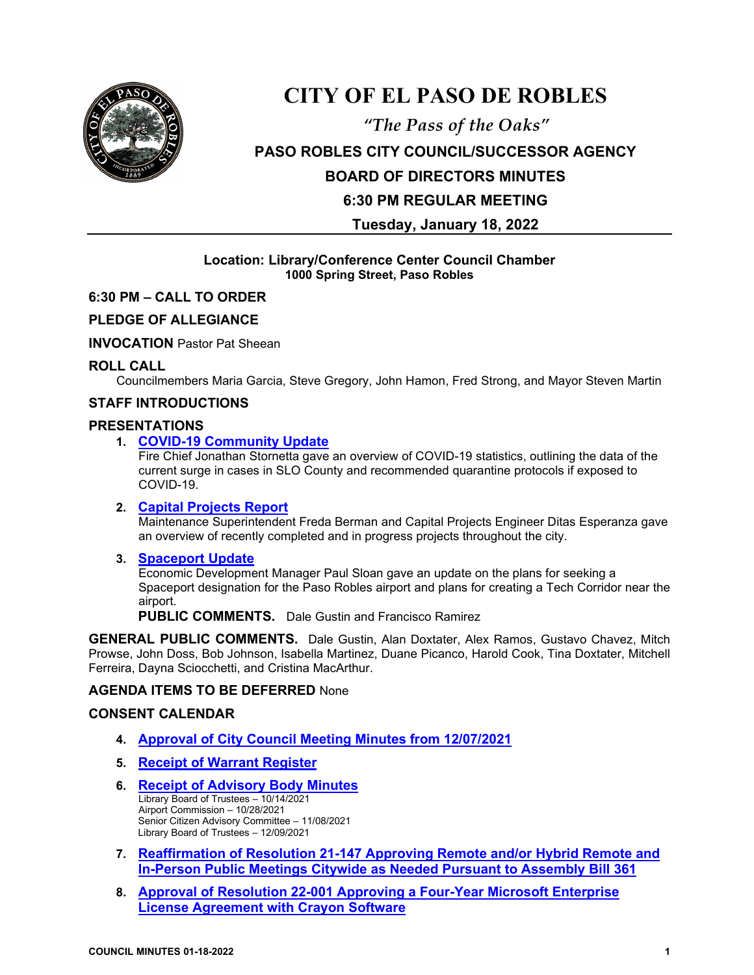

## **CITY OF EL PASO DE ROBLES**

# *"The Pass of the Oaks"* **PASO ROBLES CITY COUNCIL/SUCCESSOR AGENCY BOARD OF DIRECTORS MINUTES 6:30 PM REGULAR MEETING**

**Tuesday, January 18, 2022**

## **Location: Library/Conference Center Council Chamber 1000 Spring Street, Paso Robles**

## **6:30 PM – CALL TO ORDER**

## **PLEDGE OF ALLEGIANCE**

**INVOCATION** Pastor Pat Sheean

## **ROLL CALL**

Councilmembers Maria Garcia, Steve Gregory, John Hamon, Fred Strong, and Mayor Steven Martin

## **STAFF INTRODUCTIONS**

## **PRESENTATIONS**

## **1. [COVID-19 Community Update](https://www.prcity.com/DocumentCenter/View/33022/January-18-2022-City-Council-Agenda-Item-01-PDF)**

Fire Chief Jonathan Stornetta gave an overview of COVID-19 statistics, outlining the data of the current surge in cases in SLO County and recommended quarantine protocols if exposed to COVID-19.

## **2. [Capital Projects Report](https://www.prcity.com/DocumentCenter/View/33023/January-18-2022-City-Council-Agenda-Item-02-PDF)**

Maintenance Superintendent Freda Berman and Capital Projects Engineer Ditas Esperanza gave an overview of recently completed and in progress projects throughout the city.

## **3. [Spaceport Update](https://www.prcity.com/DocumentCenter/View/33024/January-18-2022-City-Council-Agenda-Item-03-PDF)**

Economic Development Manager Paul Sloan gave an update on the plans for seeking a Spaceport designation for the Paso Robles airport and plans for creating a Tech Corridor near the airport.

**PUBLIC COMMENTS.** Dale Gustin and Francisco Ramirez

**GENERAL PUBLIC COMMENTS.** Dale Gustin, Alan Doxtater, Alex Ramos, Gustavo Chavez, Mitch Prowse, John Doss, Bob Johnson, Isabella Martinez, Duane Picanco, Harold Cook, Tina Doxtater, Mitchell Ferreira, Dayna Sciocchetti, and Cristina MacArthur.

## **AGENDA ITEMS TO BE DEFERRED** None

## **CONSENT CALENDAR**

- **4. [Approval of City Council Meeting Minutes from 12/07/2021](https://www.prcity.com/DocumentCenter/View/33025/January-18-2022-City-Council-Agenda-Item-04-PDF)**
- **5. Receipt [of Warrant Register](https://www.prcity.com/DocumentCenter/View/33026/January-18-2022-City-Council-Agenda-Item-05-PDF)**
- **6. [Receipt of Advisory Body Minutes](https://www.prcity.com/DocumentCenter/View/33027/January-18-2022-City-Council-Agenda-Item-06-PDF)** Library Board of Trustees – 10/14/2021 Airport Commission – 10/28/2021 Senior Citizen Advisory Committee – 11/08/2021 Library Board of Trustees – 12/09/2021
- **7. [Reaffirmation of Resolution 21-147 Approving Remote and/or Hybrid Remote and](https://www.prcity.com/DocumentCenter/View/33028/January-18-2022-City-Council-Agenda-Item-07-PDF)  [In-Person Public Meetings Citywide as Needed Pursuant to Assembly Bill 361](https://www.prcity.com/DocumentCenter/View/33028/January-18-2022-City-Council-Agenda-Item-07-PDF)**
- **8. Approval of Resolution 22-001 Approving a [Four-Year Microsoft Enterprise](https://www.prcity.com/DocumentCenter/View/33029/January-18-2022-City-Council-Agenda-Item-08-PDF)  [License Agreement with Crayon Software](https://www.prcity.com/DocumentCenter/View/33029/January-18-2022-City-Council-Agenda-Item-08-PDF)**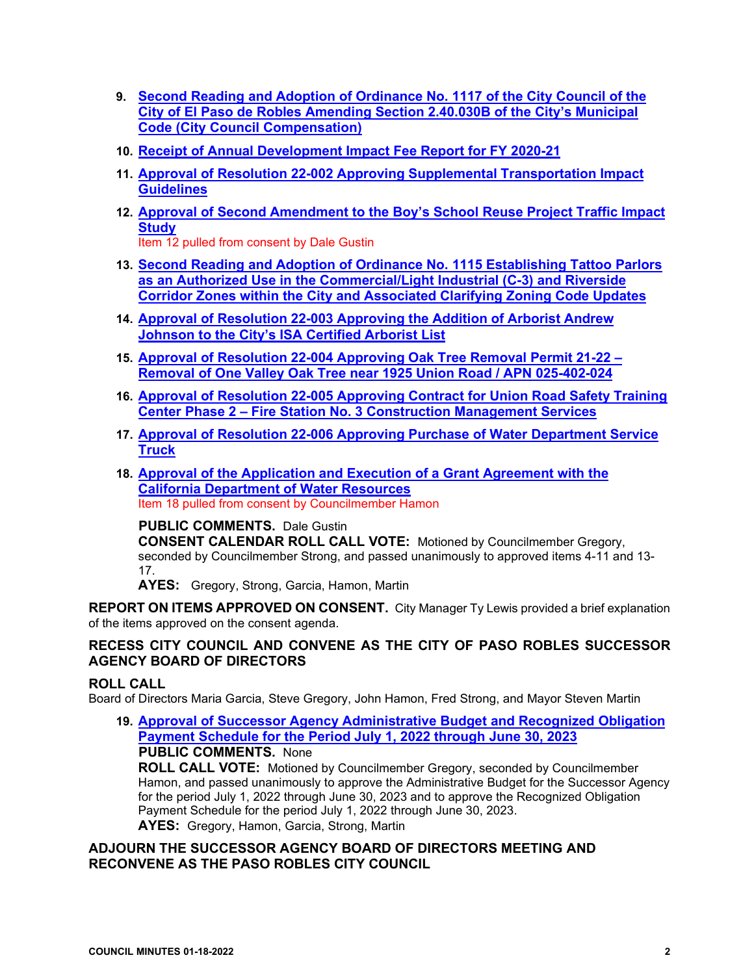- **9. [Second Reading and Adoption of Ordinance No. 1117 of the City Council of the](https://www.prcity.com/DocumentCenter/View/33030/January-18-2022-City-Council-Agenda-Item-09-PDF)  [City of El Paso de Robles Amending Section 2.40.030B of the City's Municipal](https://www.prcity.com/DocumentCenter/View/33030/January-18-2022-City-Council-Agenda-Item-09-PDF)  [Code \(City Council Compensation\)](https://www.prcity.com/DocumentCenter/View/33030/January-18-2022-City-Council-Agenda-Item-09-PDF)**
- **10. [Receipt of Annual Development Impact Fee Report for FY 2020-21](https://www.prcity.com/DocumentCenter/View/33031/January-18-2022-City-Council-Agenda-Item-10-PDF)**
- **11. Approval of Resolution 22-002 Approving [Supplemental Transportation Impact](https://www.prcity.com/DocumentCenter/View/33009/January-18-2022-City-Council-Agenda-Item-11-PDF)  [Guidelines](https://www.prcity.com/DocumentCenter/View/33009/January-18-2022-City-Council-Agenda-Item-11-PDF)**
- **12. [Approval of Second Amendment to the Boy's School Reuse Project Traffic Impact](https://www.prcity.com/DocumentCenter/View/33010/January-18-2022-City-Council-Agenda-Item-12-PDF)  [Study](https://www.prcity.com/DocumentCenter/View/33010/January-18-2022-City-Council-Agenda-Item-12-PDF)**

Item 12 pulled from consent by Dale Gustin

- **13. [Second Reading and Adoption of Ordinance No. 1115 Establishing Tattoo Parlors](https://www.prcity.com/DocumentCenter/View/33011/January-18-2022-City-Council-Agenda-Item-13-PDF)  [as an Authorized Use in the Commercial/Light Industrial \(C-3\) and Riverside](https://www.prcity.com/DocumentCenter/View/33011/January-18-2022-City-Council-Agenda-Item-13-PDF)  [Corridor Zones within the City and Associated Clarifying Zoning Code Updates](https://www.prcity.com/DocumentCenter/View/33011/January-18-2022-City-Council-Agenda-Item-13-PDF)**
- **14. [Approval of Resolution](https://www.prcity.com/DocumentCenter/View/33012/January-18-2022-City-Council-Agenda-Item-14-PDF) 22-003 Approving the Addition of Arborist Andrew [Johnson to the City's ISA Certified Arborist List](https://www.prcity.com/DocumentCenter/View/33012/January-18-2022-City-Council-Agenda-Item-14-PDF)**
- **15. [Approval of Resolution 22-004 Approving Oak Tree Removal Permit 21-22 –](https://www.prcity.com/DocumentCenter/View/33013/January-18-2022-City-Council-Agenda-Item-15-PDF) [Removal of One Valley Oak Tree near 1925 Union Road / APN 025-402-024](https://www.prcity.com/DocumentCenter/View/33013/January-18-2022-City-Council-Agenda-Item-15-PDF)**
- **16. [Approval of Resolution 22-005 Approving Contract for Union Road Safety Training](https://www.prcity.com/DocumentCenter/View/33014/January-18-2022-City-Council-Agenda-Item-16-PDF)  Center Phase 2 – [Fire Station No. 3 Construction Management Services](https://www.prcity.com/DocumentCenter/View/33014/January-18-2022-City-Council-Agenda-Item-16-PDF)**
- **17. Approval of Resolution 22-006 Approving [Purchase of Water Department Service](https://www.prcity.com/DocumentCenter/View/33015/January-18-2022-City-Council-Agenda-Item-17-PDF)  [Truck](https://www.prcity.com/DocumentCenter/View/33015/January-18-2022-City-Council-Agenda-Item-17-PDF)**
- **18. [Approval of the Application and Execution of a Grant Agreement with the](https://www.prcity.com/DocumentCenter/View/33016/January-18-2022-City-Council-Agenda-Item-18-PDF)  [California Department of Water Resources](https://www.prcity.com/DocumentCenter/View/33016/January-18-2022-City-Council-Agenda-Item-18-PDF)** Item 18 pulled from consent by Councilmember Hamon

## **PUBLIC COMMENTS.** Dale Gustin

**CONSENT CALENDAR ROLL CALL VOTE:** Motioned by Councilmember Gregory, seconded by Councilmember Strong, and passed unanimously to approved items 4-11 and 13- 17.

**AYES:** Gregory, Strong, Garcia, Hamon, Martin

**REPORT ON ITEMS APPROVED ON CONSENT.** City Manager Ty Lewis provided a brief explanation of the items approved on the consent agenda.

## **RECESS CITY COUNCIL AND CONVENE AS THE CITY OF PASO ROBLES SUCCESSOR AGENCY BOARD OF DIRECTORS**

## **ROLL CALL**

Board of Directors Maria Garcia, Steve Gregory, John Hamon, Fred Strong, and Mayor Steven Martin

**19. [Approval of Successor Agency Administrative Budget and Recognized Obligation](https://www.prcity.com/DocumentCenter/View/33017/January-18-2022-City-Council-Agenda-Item-19-PDF)  [Payment Schedule for the Period July 1, 2022 through June 30, 2023](https://www.prcity.com/DocumentCenter/View/33017/January-18-2022-City-Council-Agenda-Item-19-PDF) PUBLIC COMMENTS.** None

**ROLL CALL VOTE:** Motioned by Councilmember Gregory, seconded by Councilmember Hamon, and passed unanimously to approve the Administrative Budget for the Successor Agency for the period July 1, 2022 through June 30, 2023 and to approve the Recognized Obligation Payment Schedule for the period July 1, 2022 through June 30, 2023. **AYES:** Gregory, Hamon, Garcia, Strong, Martin

## **ADJOURN THE SUCCESSOR AGENCY BOARD OF DIRECTORS MEETING AND RECONVENE AS THE PASO ROBLES CITY COUNCIL**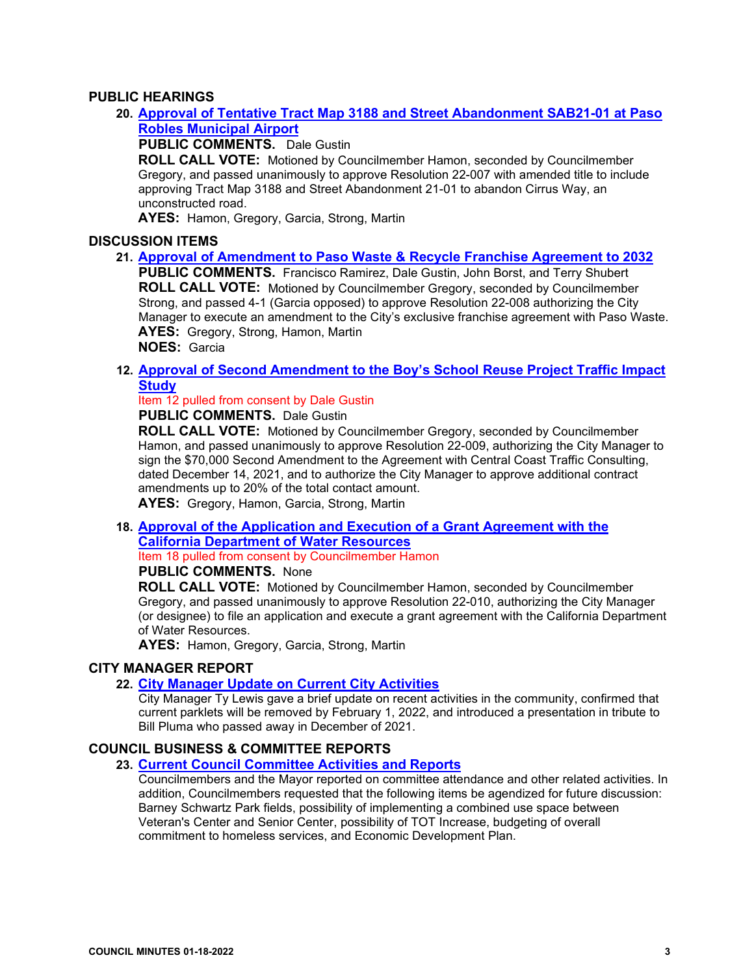## **PUBLIC HEARINGS**

**20. [Approval of Tentative Tract Map 3188 and Street Abandonment SAB21-01 at Paso](https://www.prcity.com/DocumentCenter/View/33018/January-18-2022-City-Council-Agenda-Item-20-PDF)  [Robles Municipal Airport](https://www.prcity.com/DocumentCenter/View/33018/January-18-2022-City-Council-Agenda-Item-20-PDF)**

**PUBLIC COMMENTS.** Dale Gustin

**ROLL CALL VOTE:** Motioned by Councilmember Hamon, seconded by Councilmember Gregory, and passed unanimously to approve Resolution 22-007 with amended title to include approving Tract Map 3188 and Street Abandonment 21-01 to abandon Cirrus Way, an unconstructed road.

**AYES:** Hamon, Gregory, Garcia, Strong, Martin

## **DISCUSSION ITEMS**

**21. [Approval of Amendment to Paso Waste & Recycle Franchise Agreement to 2032](https://www.prcity.com/DocumentCenter/View/33019/January-18-2022-City-Council-Agenda-Item-21-PDF)**

**PUBLIC COMMENTS.** Francisco Ramirez, Dale Gustin, John Borst, and Terry Shubert **ROLL CALL VOTE:** Motioned by Councilmember Gregory, seconded by Councilmember Strong, and passed 4-1 (Garcia opposed) to approve Resolution 22-008 authorizing the City Manager to execute an amendment to the City's exclusive franchise agreement with Paso Waste. **AYES:** Gregory, Strong, Hamon, Martin **NOES:** Garcia

**12. [Approval of Second Amendment to the Boy's School Reuse Project Traffic Impact](https://www.prcity.com/DocumentCenter/View/33010/January-18-2022-City-Council-Agenda-Item-12-PDF)  [Study](https://www.prcity.com/DocumentCenter/View/33010/January-18-2022-City-Council-Agenda-Item-12-PDF)**

Item 12 pulled from consent by Dale Gustin **PUBLIC COMMENTS.** Dale Gustin

**ROLL CALL VOTE:** Motioned by Councilmember Gregory, seconded by Councilmember Hamon, and passed unanimously to approve Resolution 22-009, authorizing the City Manager to sign the \$70,000 Second Amendment to the Agreement with Central Coast Traffic Consulting, dated December 14, 2021, and to authorize the City Manager to approve additional contract amendments up to 20% of the total contact amount. **AYES:** Gregory, Hamon, Garcia, Strong, Martin

**18. [Approval of the Application and Execution of a Grant Agreement with the](https://www.prcity.com/DocumentCenter/View/33016/January-18-2022-City-Council-Agenda-Item-18-PDF)  [California Department of Water Resources](https://www.prcity.com/DocumentCenter/View/33016/January-18-2022-City-Council-Agenda-Item-18-PDF)**

Item 18 pulled from consent by Councilmember Hamon

## **PUBLIC COMMENTS.** None

**ROLL CALL VOTE:** Motioned by Councilmember Hamon, seconded by Councilmember Gregory, and passed unanimously to approve Resolution 22-010, authorizing the City Manager (or designee) to file an application and execute a grant agreement with the California Department of Water Resources.

**AYES:** Hamon, Gregory, Garcia, Strong, Martin

## **CITY MANAGER REPORT**

## **22. [City Manager Update on](https://www.prcity.com/DocumentCenter/View/33020/January-18-2022-City-Council-Agenda-Item-22-PDF) Current City Activities**

City Manager Ty Lewis gave a brief update on recent activities in the community, confirmed that current parklets will be removed by February 1, 2022, and introduced a presentation in tribute to Bill Pluma who passed away in December of 2021.

## **COUNCIL BUSINESS & COMMITTEE REPORTS**

## **23. [Current Council Committee Activities and Reports](https://www.prcity.com/DocumentCenter/View/33021/January-18-2022-City-Council-Agenda-Item-23-PDF)**

Councilmembers and the Mayor reported on committee attendance and other related activities. In addition, Councilmembers requested that the following items be agendized for future discussion: Barney Schwartz Park fields, possibility of implementing a combined use space between Veteran's Center and Senior Center, possibility of TOT Increase, budgeting of overall commitment to homeless services, and Economic Development Plan.